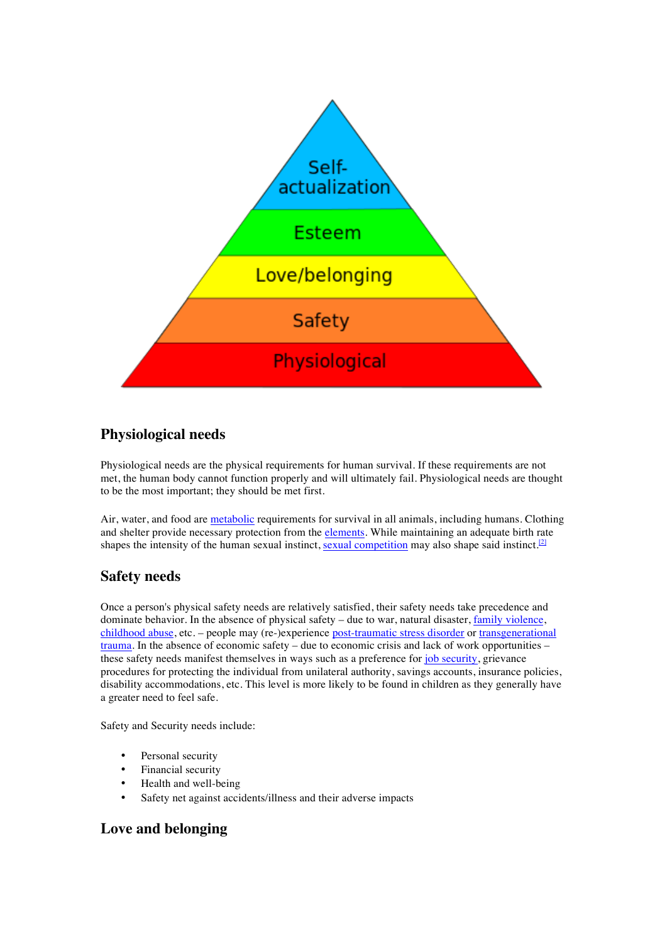

# **Physiological needs**

Physiological needs are the physical requirements for human survival. If these requirements are not met, the human body cannot function properly and will ultimately fail. Physiological needs are thought to be the most important; they should be met first.

Air, water, and food are metabolic requirements for survival in all animals, including humans. Clothing and shelter provide necessary protection from the elements. While maintaining an adequate birth rate shapes the intensity of the human sexual instinct, sexual competition may also shape said instinct.<sup>[2]</sup>

## **Safety needs**

Once a person's physical safety needs are relatively satisfied, their safety needs take precedence and dominate behavior. In the absence of physical safety – due to war, natural disaster, family violence, childhood abuse, etc. – people may (re-)experience post-traumatic stress disorder or transgenerational trauma. In the absence of economic safety – due to economic crisis and lack of work opportunities – these safety needs manifest themselves in ways such as a preference for job security, grievance procedures for protecting the individual from unilateral authority, savings accounts, insurance policies, disability accommodations, etc. This level is more likely to be found in children as they generally have a greater need to feel safe.

Safety and Security needs include:

- Personal security
- Financial security
- Health and well-being
- Safety net against accidents/illness and their adverse impacts

## **Love and belonging**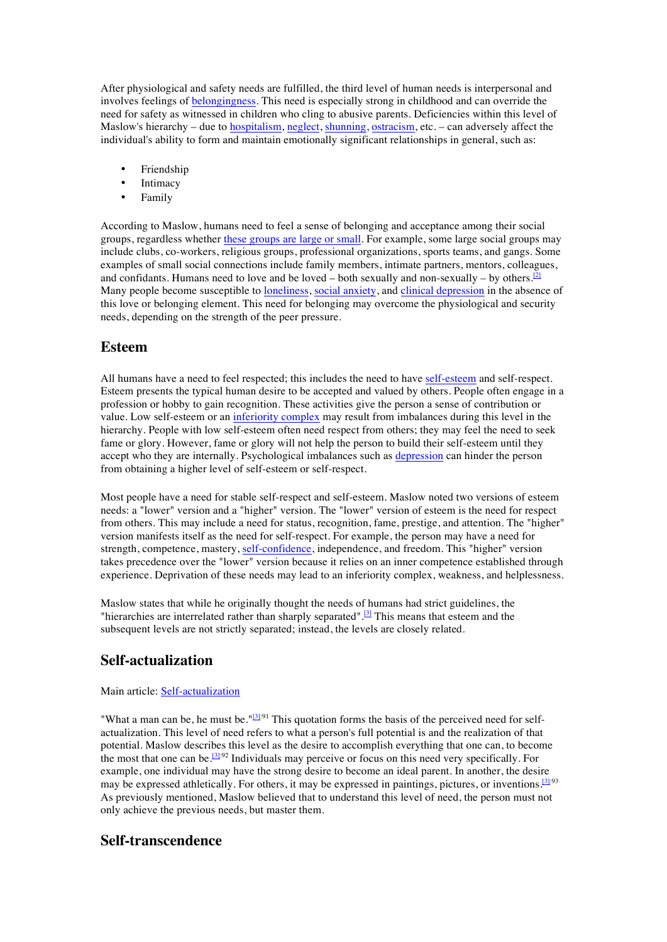After physiological and safety needs are fulfilled, the third level of human needs is interpersonal and involves feelings of belongingness. This need is especially strong in childhood and can override the need for safety as witnessed in children who cling to abusive parents. Deficiencies within this level of Maslow's hierarchy – due to **hospitalism**, neglect, shunning, ostracism, etc. – can adversely affect the individual's ability to form and maintain emotionally significant relationships in general, such as:

- Friendship
- **Intimacy**
- Family

According to Maslow, humans need to feel a sense of belonging and acceptance among their social groups, regardless whether these groups are large or small. For example, some large social groups may include clubs, co-workers, religious groups, professional organizations, sports teams, and gangs. Some examples of small social connections include family members, intimate partners, mentors, colleagues, and confidants. Humans need to love and be loved – both sexually and non-sexually – by others.<sup>[2]</sup> Many people become susceptible to loneliness, social anxiety, and clinical depression in the absence of this love or belonging element. This need for belonging may overcome the physiological and security needs, depending on the strength of the peer pressure.

#### **Esteem**

All humans have a need to feel respected; this includes the need to have self-esteem and self-respect. Esteem presents the typical human desire to be accepted and valued by others. People often engage in a profession or hobby to gain recognition. These activities give the person a sense of contribution or value. Low self-esteem or an inferiority complex may result from imbalances during this level in the hierarchy. People with low self-esteem often need respect from others; they may feel the need to seek fame or glory. However, fame or glory will not help the person to build their self-esteem until they accept who they are internally. Psychological imbalances such as depression can hinder the person from obtaining a higher level of self-esteem or self-respect.

Most people have a need for stable self-respect and self-esteem. Maslow noted two versions of esteem needs: a "lower" version and a "higher" version. The "lower" version of esteem is the need for respect from others. This may include a need for status, recognition, fame, prestige, and attention. The "higher" version manifests itself as the need for self-respect. For example, the person may have a need for strength, competence, mastery, self-confidence, independence, and freedom. This "higher" version takes precedence over the "lower" version because it relies on an inner competence established through experience. Deprivation of these needs may lead to an inferiority complex, weakness, and helplessness.

Maslow states that while he originally thought the needs of humans had strict guidelines, the "hierarchies are interrelated rather than sharply separated".<sup>[3]</sup> This means that esteem and the subsequent levels are not strictly separated; instead, the levels are closely related.

### **Self-actualization**

#### Main article: Self-actualization

"What a man can be, he must be." $[3]^{.91}$  This quotation forms the basis of the perceived need for selfactualization. This level of need refers to what a person's full potential is and the realization of that potential. Maslow describes this level as the desire to accomplish everything that one can, to become the most that one can be.<sup>[3]:92</sup> Individuals may perceive or focus on this need very specifically. For example, one individual may have the strong desire to become an ideal parent. In another, the desire may be expressed athletically. For others, it may be expressed in paintings, pictures, or inventions.<sup>[3]:93</sup> As previously mentioned, Maslow believed that to understand this level of need, the person must not only achieve the previous needs, but master them.

### **Self-transcendence**